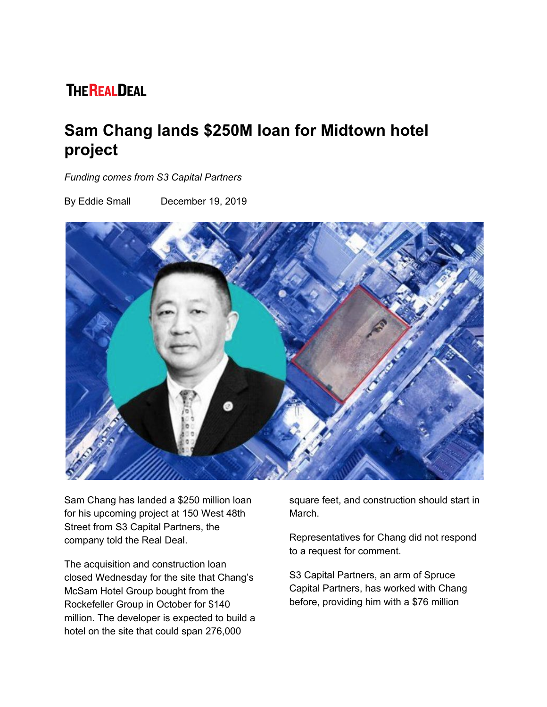## **THE REALDEAL**

## **Sam Chang lands \$250M loan for Midtown hotel project**

*Funding comes from S3 Capital Partners*

By Eddie Small December 19, 2019



Sam Chang has landed a \$250 million loan for his upcoming project at 150 West 48th Street from S3 Capital Partners, the company told the Real Deal.

The acquisition and construction loan closed Wednesday for the site that Chang's McSam Hotel Group bought from the Rockefeller Group in October for \$140 million. The developer is expected to build a hotel on the site that could span 276,000

square feet, and construction should start in March.

Representatives for Chang did not respond to a request for comment.

S3 Capital Partners, an arm of Spruce Capital Partners, has worked with Chang before, providing him with a \$76 million